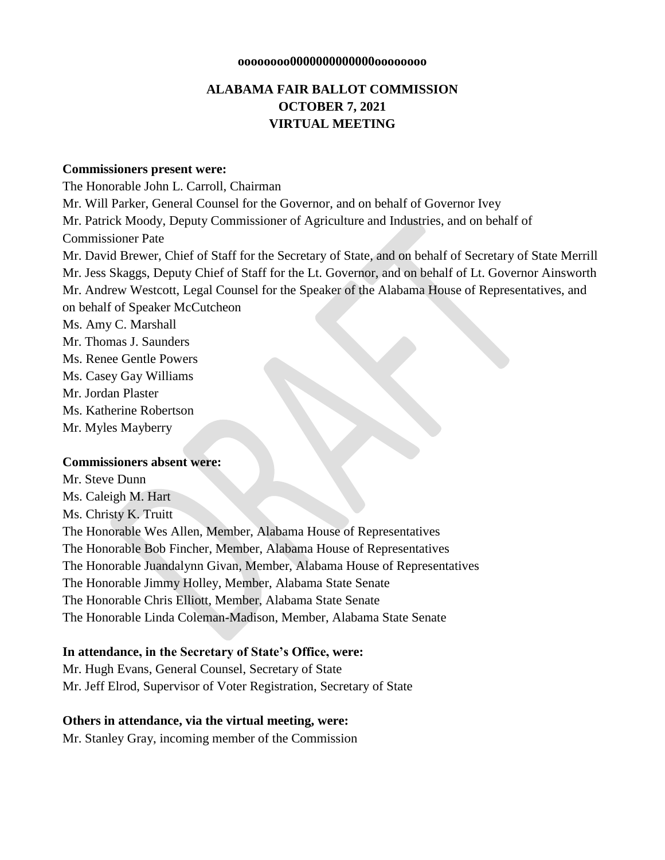#### **oooooooo0000000000000oooooooo**

# **ALABAMA FAIR BALLOT COMMISSION OCTOBER 7, 2021 VIRTUAL MEETING**

#### **Commissioners present were:**

The Honorable John L. Carroll, Chairman Mr. Will Parker, General Counsel for the Governor, and on behalf of Governor Ivey Mr. Patrick Moody, Deputy Commissioner of Agriculture and Industries, and on behalf of Commissioner Pate Mr. David Brewer, Chief of Staff for the Secretary of State, and on behalf of Secretary of State Merrill Mr. Jess Skaggs, Deputy Chief of Staff for the Lt. Governor, and on behalf of Lt. Governor Ainsworth Mr. Andrew Westcott, Legal Counsel for the Speaker of the Alabama House of Representatives, and on behalf of Speaker McCutcheon Ms. Amy C. Marshall Mr. Thomas J. Saunders Ms. Renee Gentle Powers Ms. Casey Gay Williams Mr. Jordan Plaster Ms. Katherine Robertson Mr. Myles Mayberry **Commissioners absent were:**

Mr. Steve Dunn Ms. Caleigh M. Hart Ms. Christy K. Truitt The Honorable Wes Allen, Member, Alabama House of Representatives The Honorable Bob Fincher, Member, Alabama House of Representatives The Honorable Juandalynn Givan, Member, Alabama House of Representatives The Honorable Jimmy Holley, Member, Alabama State Senate The Honorable Chris Elliott, Member, Alabama State Senate The Honorable Linda Coleman-Madison, Member, Alabama State Senate

#### **In attendance, in the Secretary of State's Office, were:**

Mr. Hugh Evans, General Counsel, Secretary of State Mr. Jeff Elrod, Supervisor of Voter Registration, Secretary of State

#### **Others in attendance, via the virtual meeting, were:**

Mr. Stanley Gray, incoming member of the Commission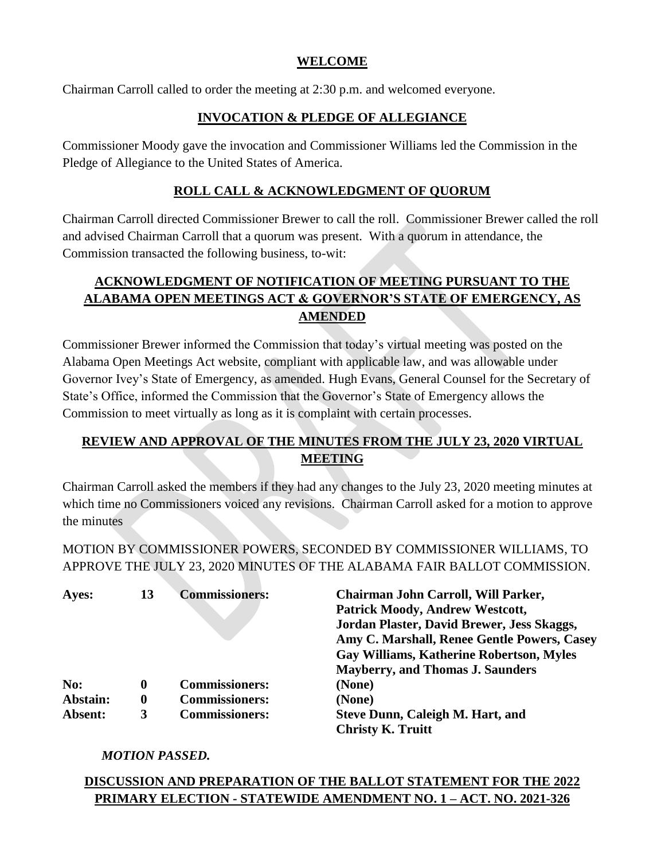# **WELCOME**

Chairman Carroll called to order the meeting at 2:30 p.m. and welcomed everyone.

# **INVOCATION & PLEDGE OF ALLEGIANCE**

Commissioner Moody gave the invocation and Commissioner Williams led the Commission in the Pledge of Allegiance to the United States of America.

# **ROLL CALL & ACKNOWLEDGMENT OF QUORUM**

Chairman Carroll directed Commissioner Brewer to call the roll. Commissioner Brewer called the roll and advised Chairman Carroll that a quorum was present. With a quorum in attendance, the Commission transacted the following business, to-wit:

# **ACKNOWLEDGMENT OF NOTIFICATION OF MEETING PURSUANT TO THE ALABAMA OPEN MEETINGS ACT & GOVERNOR'S STATE OF EMERGENCY, AS AMENDED**

Commissioner Brewer informed the Commission that today's virtual meeting was posted on the Alabama Open Meetings Act website, compliant with applicable law, and was allowable under Governor Ivey's State of Emergency, as amended. Hugh Evans, General Counsel for the Secretary of State's Office, informed the Commission that the Governor's State of Emergency allows the Commission to meet virtually as long as it is complaint with certain processes.

# **REVIEW AND APPROVAL OF THE MINUTES FROM THE JULY 23, 2020 VIRTUAL MEETING**

Chairman Carroll asked the members if they had any changes to the July 23, 2020 meeting minutes at which time no Commissioners voiced any revisions. Chairman Carroll asked for a motion to approve the minutes

MOTION BY COMMISSIONER POWERS, SECONDED BY COMMISSIONER WILLIAMS, TO APPROVE THE JULY 23, 2020 MINUTES OF THE ALABAMA FAIR BALLOT COMMISSION.

| Ayes:    | 13       | <b>Commissioners:</b> | Chairman John Carroll, Will Parker,<br><b>Patrick Moody, Andrew Westcott,</b> |
|----------|----------|-----------------------|-------------------------------------------------------------------------------|
|          |          |                       | Jordan Plaster, David Brewer, Jess Skaggs,                                    |
|          |          |                       | Amy C. Marshall, Renee Gentle Powers, Casey                                   |
|          |          |                       | <b>Gay Williams, Katherine Robertson, Myles</b>                               |
|          |          |                       | <b>Mayberry, and Thomas J. Saunders</b>                                       |
| No:      | $\bf{0}$ | <b>Commissioners:</b> | (None)                                                                        |
| Abstain: | $\bf{0}$ | <b>Commissioners:</b> | (None)                                                                        |
| Absent:  | 3        | <b>Commissioners:</b> | <b>Steve Dunn, Caleigh M. Hart, and</b>                                       |
|          |          |                       | <b>Christy K. Truitt</b>                                                      |

## *MOTION PASSED.*

# **DISCUSSION AND PREPARATION OF THE BALLOT STATEMENT FOR THE 2022 PRIMARY ELECTION - STATEWIDE AMENDMENT NO. 1 – ACT. NO. 2021-326**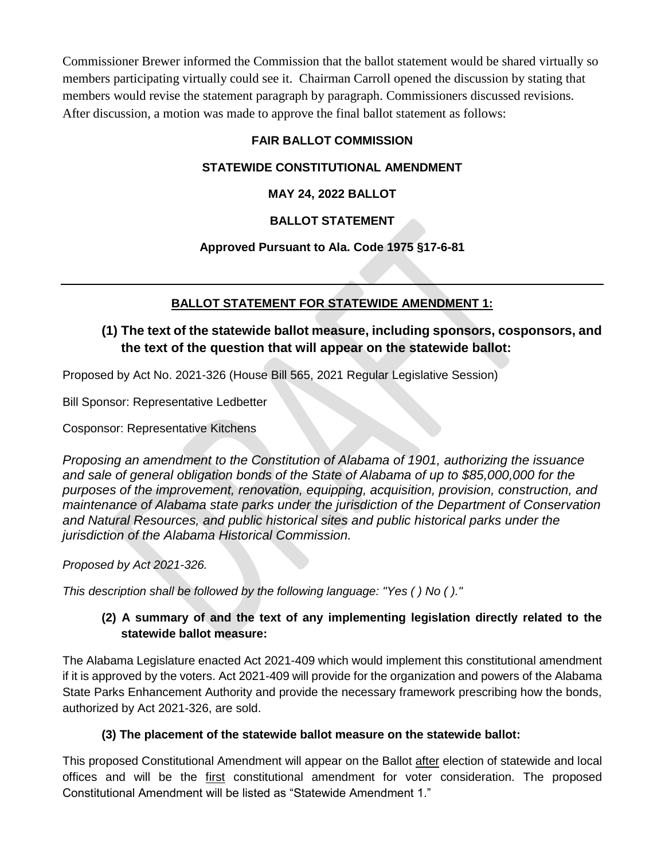Commissioner Brewer informed the Commission that the ballot statement would be shared virtually so members participating virtually could see it. Chairman Carroll opened the discussion by stating that members would revise the statement paragraph by paragraph. Commissioners discussed revisions. After discussion, a motion was made to approve the final ballot statement as follows:

# **FAIR BALLOT COMMISSION**

# **STATEWIDE CONSTITUTIONAL AMENDMENT**

# **MAY 24, 2022 BALLOT**

# **BALLOT STATEMENT**

## **Approved Pursuant to Ala. Code 1975 §17-6-81**

# **BALLOT STATEMENT FOR STATEWIDE AMENDMENT 1:**

# **(1) The text of the statewide ballot measure, including sponsors, cosponsors, and the text of the question that will appear on the statewide ballot:**

Proposed by Act No. 2021-326 (House Bill 565, 2021 Regular Legislative Session)

Bill Sponsor: Representative Ledbetter

Cosponsor: Representative Kitchens

*Proposing an amendment to the Constitution of Alabama of 1901, authorizing the issuance and sale of general obligation bonds of the State of Alabama of up to \$85,000,000 for the purposes of the improvement, renovation, equipping, acquisition, provision, construction, and maintenance of Alabama state parks under the jurisdiction of the Department of Conservation and Natural Resources, and public historical sites and public historical parks under the jurisdiction of the Alabama Historical Commission.* 

*Proposed by Act 2021-326.*

*This description shall be followed by the following language: "Yes ( ) No ( )."*

# **(2) A summary of and the text of any implementing legislation directly related to the statewide ballot measure:**

The Alabama Legislature enacted Act 2021-409 which would implement this constitutional amendment if it is approved by the voters. Act 2021-409 will provide for the organization and powers of the Alabama State Parks Enhancement Authority and provide the necessary framework prescribing how the bonds, authorized by Act 2021-326, are sold.

## **(3) The placement of the statewide ballot measure on the statewide ballot:**

This proposed Constitutional Amendment will appear on the Ballot after election of statewide and local offices and will be the first constitutional amendment for voter consideration. The proposed Constitutional Amendment will be listed as "Statewide Amendment 1."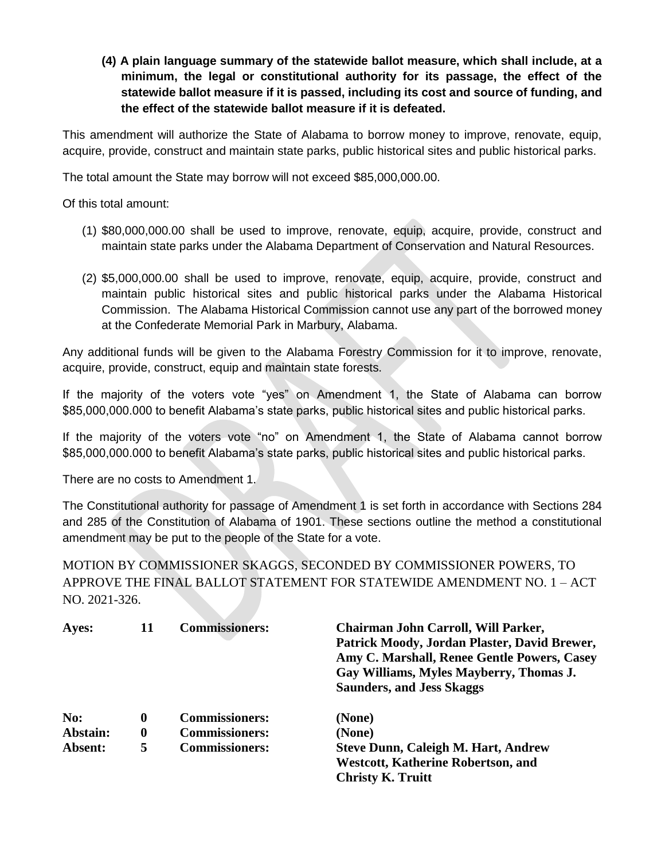**(4) A plain language summary of the statewide ballot measure, which shall include, at a minimum, the legal or constitutional authority for its passage, the effect of the statewide ballot measure if it is passed, including its cost and source of funding, and the effect of the statewide ballot measure if it is defeated.** 

This amendment will authorize the State of Alabama to borrow money to improve, renovate, equip, acquire, provide, construct and maintain state parks, public historical sites and public historical parks.

The total amount the State may borrow will not exceed \$85,000,000.00.

Of this total amount:

- (1) \$80,000,000.00 shall be used to improve, renovate, equip, acquire, provide, construct and maintain state parks under the Alabama Department of Conservation and Natural Resources.
- (2) \$5,000,000.00 shall be used to improve, renovate, equip, acquire, provide, construct and maintain public historical sites and public historical parks under the Alabama Historical Commission. The Alabama Historical Commission cannot use any part of the borrowed money at the Confederate Memorial Park in Marbury, Alabama.

Any additional funds will be given to the Alabama Forestry Commission for it to improve, renovate, acquire, provide, construct, equip and maintain state forests.

If the majority of the voters vote "yes" on Amendment 1, the State of Alabama can borrow \$85,000,000.000 to benefit Alabama's state parks, public historical sites and public historical parks.

If the majority of the voters vote "no" on Amendment 1, the State of Alabama cannot borrow \$85,000,000.000 to benefit Alabama's state parks, public historical sites and public historical parks.

There are no costs to Amendment 1.

The Constitutional authority for passage of Amendment 1 is set forth in accordance with Sections 284 and 285 of the Constitution of Alabama of 1901. These sections outline the method a constitutional amendment may be put to the people of the State for a vote.

MOTION BY COMMISSIONER SKAGGS, SECONDED BY COMMISSIONER POWERS, TO APPROVE THE FINAL BALLOT STATEMENT FOR STATEWIDE AMENDMENT NO. 1 – ACT NO. 2021-326.

| Ayes:    | 11       | <b>Commissioners:</b> | Chairman John Carroll, Will Parker,<br>Patrick Moody, Jordan Plaster, David Brewer,<br>Amy C. Marshall, Renee Gentle Powers, Casey<br>Gay Williams, Myles Mayberry, Thomas J.<br><b>Saunders, and Jess Skaggs</b> |
|----------|----------|-----------------------|-------------------------------------------------------------------------------------------------------------------------------------------------------------------------------------------------------------------|
| No:      | 0        | <b>Commissioners:</b> | (None)                                                                                                                                                                                                            |
| Abstain: | $\bf{0}$ | <b>Commissioners:</b> | (None)                                                                                                                                                                                                            |
| Absent:  | 5        | <b>Commissioners:</b> | <b>Steve Dunn, Caleigh M. Hart, Andrew</b>                                                                                                                                                                        |
|          |          |                       | <b>Westcott, Katherine Robertson, and</b>                                                                                                                                                                         |
|          |          |                       | <b>Christy K. Truitt</b>                                                                                                                                                                                          |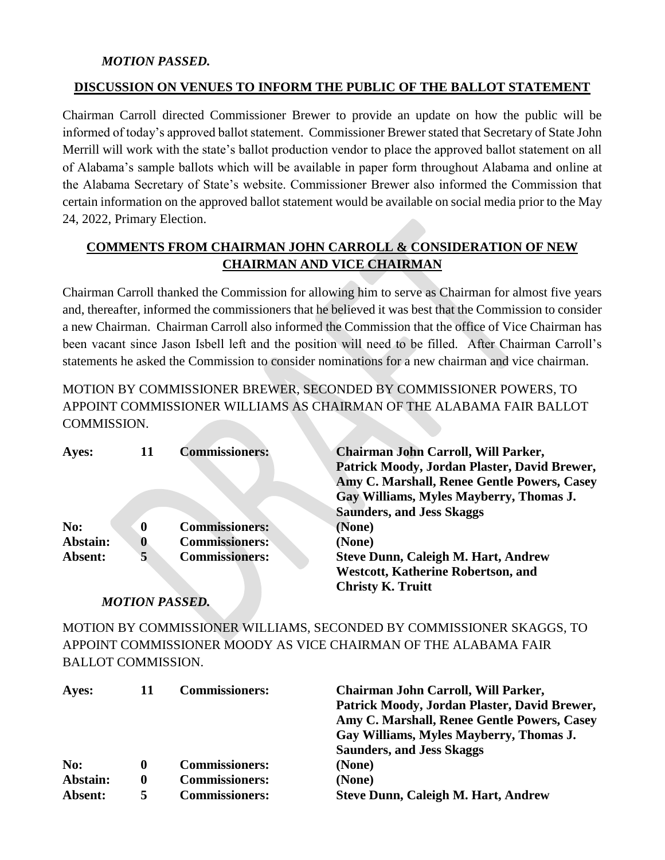## *MOTION PASSED.*

#### **DISCUSSION ON VENUES TO INFORM THE PUBLIC OF THE BALLOT STATEMENT**

Chairman Carroll directed Commissioner Brewer to provide an update on how the public will be informed of today's approved ballot statement. Commissioner Brewer stated that Secretary of State John Merrill will work with the state's ballot production vendor to place the approved ballot statement on all of Alabama's sample ballots which will be available in paper form throughout Alabama and online at the Alabama Secretary of State's website. Commissioner Brewer also informed the Commission that certain information on the approved ballot statement would be available on social media prior to the May 24, 2022, Primary Election.

# **COMMENTS FROM CHAIRMAN JOHN CARROLL & CONSIDERATION OF NEW CHAIRMAN AND VICE CHAIRMAN**

Chairman Carroll thanked the Commission for allowing him to serve as Chairman for almost five years and, thereafter, informed the commissioners that he believed it was best that the Commission to consider a new Chairman. Chairman Carroll also informed the Commission that the office of Vice Chairman has been vacant since Jason Isbell left and the position will need to be filled. After Chairman Carroll's statements he asked the Commission to consider nominations for a new chairman and vice chairman.

MOTION BY COMMISSIONER BREWER, SECONDED BY COMMISSIONER POWERS, TO APPOINT COMMISSIONER WILLIAMS AS CHAIRMAN OF THE ALABAMA FAIR BALLOT COMMISSION.

| Ayes:    | 11       | <b>Commissioners:</b> | Chairman John Carroll, Will Parker,          |
|----------|----------|-----------------------|----------------------------------------------|
|          |          |                       | Patrick Moody, Jordan Plaster, David Brewer, |
|          |          |                       | Amy C. Marshall, Renee Gentle Powers, Casey  |
|          |          |                       | Gay Williams, Myles Mayberry, Thomas J.      |
|          |          |                       | <b>Saunders, and Jess Skaggs</b>             |
| No:      | 0        | <b>Commissioners:</b> | (None)                                       |
| Abstain: | $\bf{0}$ | <b>Commissioners:</b> | (None)                                       |
| Absent:  | 5        | <b>Commissioners:</b> | <b>Steve Dunn, Caleigh M. Hart, Andrew</b>   |
|          |          |                       | <b>Westcott, Katherine Robertson, and</b>    |
|          |          |                       | <b>Christy K. Truitt</b>                     |

## *MOTION PASSED.*

MOTION BY COMMISSIONER WILLIAMS, SECONDED BY COMMISSIONER SKAGGS, TO APPOINT COMMISSIONER MOODY AS VICE CHAIRMAN OF THE ALABAMA FAIR BALLOT COMMISSION.

| Ayes:    | 11 | <b>Commissioners:</b> | Chairman John Carroll, Will Parker,<br>Patrick Moody, Jordan Plaster, David Brewer,<br>Amy C. Marshall, Renee Gentle Powers, Casey |
|----------|----|-----------------------|------------------------------------------------------------------------------------------------------------------------------------|
|          |    |                       | Gay Williams, Myles Mayberry, Thomas J.<br><b>Saunders, and Jess Skaggs</b>                                                        |
| No:      | o  | <b>Commissioners:</b> | (None)                                                                                                                             |
| Abstain: | 0  | <b>Commissioners:</b> | (None)                                                                                                                             |
| Absent:  | ā  | <b>Commissioners:</b> | <b>Steve Dunn, Caleigh M. Hart, Andrew</b>                                                                                         |